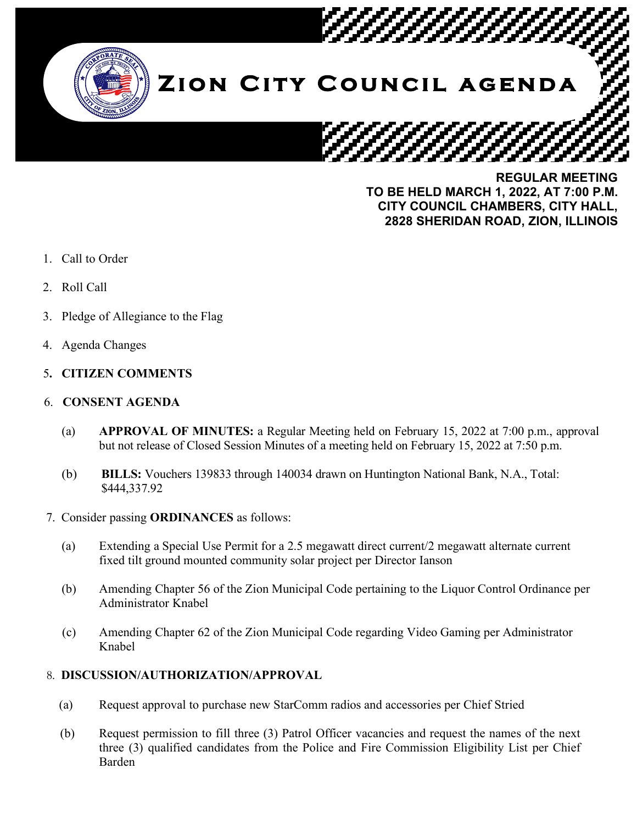

**REGULAR MEETING TO BE HELD MARCH 1, 2022, AT 7:00 P.M. CITY COUNCIL CHAMBERS, CITY HALL, 2828 SHERIDAN ROAD, ZION, ILLINOIS**

- 1. Call to Order
- 2. Roll Call
- 3. Pledge of Allegiance to the Flag
- 4. Agenda Changes
- 5**. CITIZEN COMMENTS**

#### 6. **CONSENT AGENDA**

- (a) **APPROVAL OF MINUTES:** a Regular Meeting held on February 15, 2022 at 7:00 p.m., approval but not release of Closed Session Minutes of a meeting held on February 15, 2022 at 7:50 p.m.
- (b) **BILLS:** Vouchers 139833 through 140034 drawn on Huntington National Bank, N.A., Total: \$444,337.92
- 7. Consider passing **ORDINANCES** as follows:
	- (a) Extending a Special Use Permit for a 2.5 megawatt direct current/2 megawatt alternate current fixed tilt ground mounted community solar project per Director Ianson
	- (b) Amending Chapter 56 of the Zion Municipal Code pertaining to the Liquor Control Ordinance per Administrator Knabel
	- (c) Amending Chapter 62 of the Zion Municipal Code regarding Video Gaming per Administrator Knabel

### 8. **DISCUSSION/AUTHORIZATION/APPROVAL**

- (a) Request approval to purchase new StarComm radios and accessories per Chief Stried
- (b) Request permission to fill three (3) Patrol Officer vacancies and request the names of the next three (3) qualified candidates from the Police and Fire Commission Eligibility List per Chief Barden